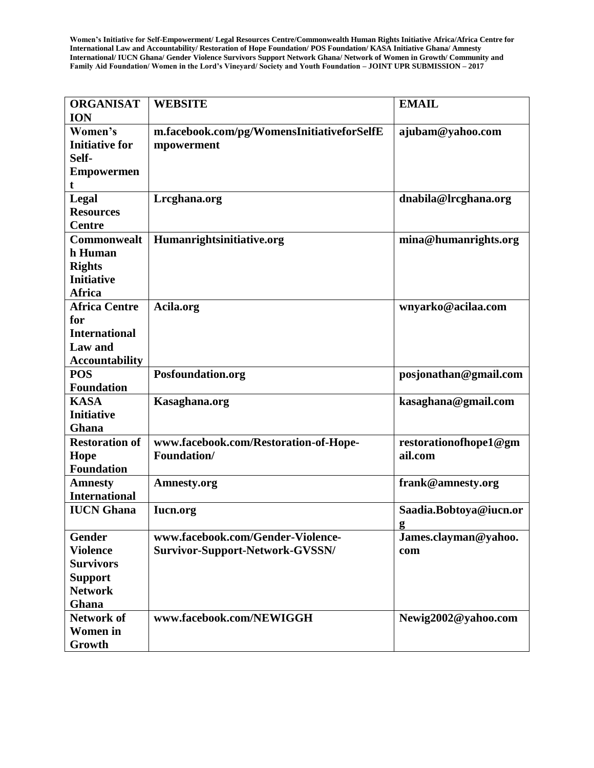| <b>ORGANISAT</b>      | <b>WEBSITE</b>                             | <b>EMAIL</b>           |
|-----------------------|--------------------------------------------|------------------------|
| <b>ION</b>            |                                            |                        |
| Women's               | m.facebook.com/pg/WomensInitiativeforSelfE | ajubam@yahoo.com       |
| <b>Initiative for</b> | mpowerment                                 |                        |
| Self-                 |                                            |                        |
| <b>Empowermen</b>     |                                            |                        |
| t                     |                                            |                        |
| Legal                 | Lrcghana.org                               | dnabila@lrcghana.org   |
| <b>Resources</b>      |                                            |                        |
| <b>Centre</b>         |                                            |                        |
| Commonwealt           | Humanrightsinitiative.org                  | mina@humanrights.org   |
| h Human               |                                            |                        |
| <b>Rights</b>         |                                            |                        |
| <b>Initiative</b>     |                                            |                        |
| <b>Africa</b>         |                                            |                        |
| <b>Africa Centre</b>  | Acila.org                                  | wnyarko@acilaa.com     |
| for                   |                                            |                        |
| <b>International</b>  |                                            |                        |
| Law and               |                                            |                        |
| <b>Accountability</b> |                                            |                        |
| <b>POS</b>            | Posfoundation.org                          | posjonathan@gmail.com  |
| <b>Foundation</b>     |                                            |                        |
| <b>KASA</b>           | Kasaghana.org                              | kasaghana@gmail.com    |
| <b>Initiative</b>     |                                            |                        |
| Ghana                 |                                            |                        |
| <b>Restoration of</b> | www.facebook.com/Restoration-of-Hope-      | restorationofhope1@gm  |
| Hope                  | <b>Foundation/</b>                         | ail.com                |
| <b>Foundation</b>     |                                            |                        |
| <b>Amnesty</b>        | Amnesty.org                                | frank@amnesty.org      |
| <b>International</b>  |                                            |                        |
| <b>IUCN</b> Ghana     | <b>Iucn.org</b>                            | Saadia.Bobtoya@iucn.or |
|                       |                                            | g                      |
| <b>Gender</b>         | www.facebook.com/Gender-Violence-          | James.clayman@yahoo.   |
| <b>Violence</b>       | Survivor-Support-Network-GVSSN/            | com                    |
| <b>Survivors</b>      |                                            |                        |
| <b>Support</b>        |                                            |                        |
| <b>Network</b>        |                                            |                        |
| Ghana                 |                                            |                        |
| <b>Network of</b>     | www.facebook.com/NEWIGGH                   | Newig2002@yahoo.com    |
| <b>Women</b> in       |                                            |                        |
| Growth                |                                            |                        |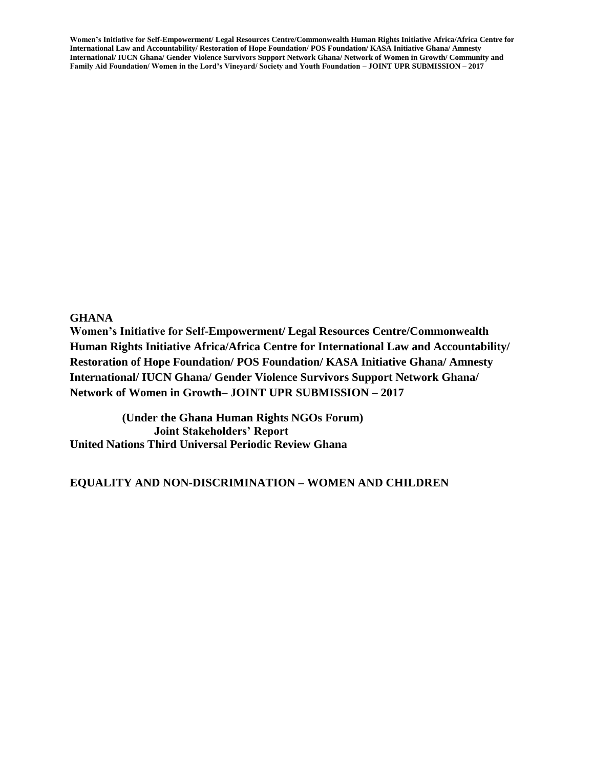#### **GHANA**

**Women's Initiative for Self-Empowerment/ Legal Resources Centre/Commonwealth Human Rights Initiative Africa/Africa Centre for International Law and Accountability/ Restoration of Hope Foundation/ POS Foundation/ KASA Initiative Ghana/ Amnesty International/ IUCN Ghana/ Gender Violence Survivors Support Network Ghana/ Network of Women in Growth– JOINT UPR SUBMISSION – 2017**

 **(Under the Ghana Human Rights NGOs Forum) Joint Stakeholders' Report United Nations Third Universal Periodic Review Ghana**

#### **EQUALITY AND NON-DISCRIMINATION – WOMEN AND CHILDREN**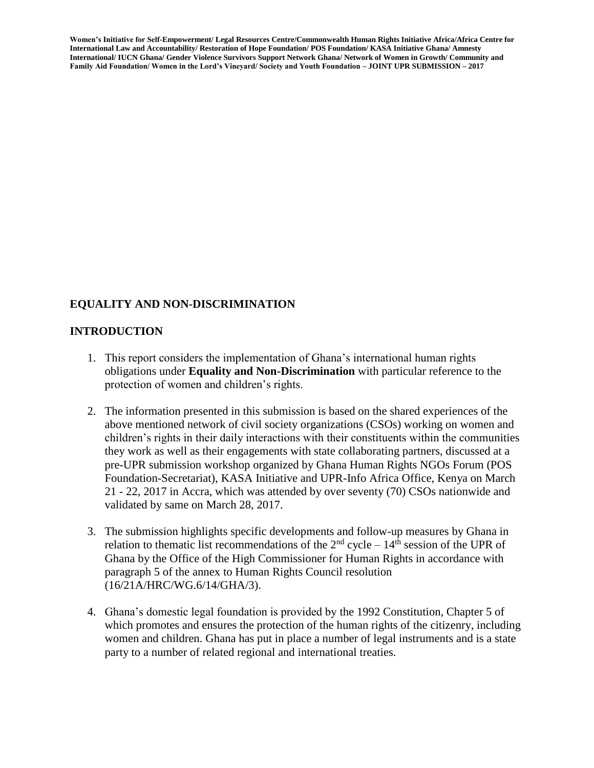# **EQUALITY AND NON-DISCRIMINATION**

#### **INTRODUCTION**

- 1. This report considers the implementation of Ghana's international human rights obligations under **Equality and Non-Discrimination** with particular reference to the protection of women and children's rights.
- 2. The information presented in this submission is based on the shared experiences of the above mentioned network of civil society organizations (CSOs) working on women and children's rights in their daily interactions with their constituents within the communities they work as well as their engagements with state collaborating partners, discussed at a pre-UPR submission workshop organized by Ghana Human Rights NGOs Forum (POS Foundation-Secretariat), KASA Initiative and UPR-Info Africa Office, Kenya on March 21 - 22, 2017 in Accra, which was attended by over seventy (70) CSOs nationwide and validated by same on March 28, 2017.
- 3. The submission highlights specific developments and follow-up measures by Ghana in relation to thematic list recommendations of the  $2<sup>nd</sup>$  cycle –  $14<sup>th</sup>$  session of the UPR of Ghana by the Office of the High Commissioner for Human Rights in accordance with paragraph 5 of the annex to Human Rights Council resolution (16/21A/HRC/WG.6/14/GHA/3).
- 4. Ghana's domestic legal foundation is provided by the 1992 Constitution, Chapter 5 of which promotes and ensures the protection of the human rights of the citizenry, including women and children. Ghana has put in place a number of legal instruments and is a state party to a number of related regional and international treaties.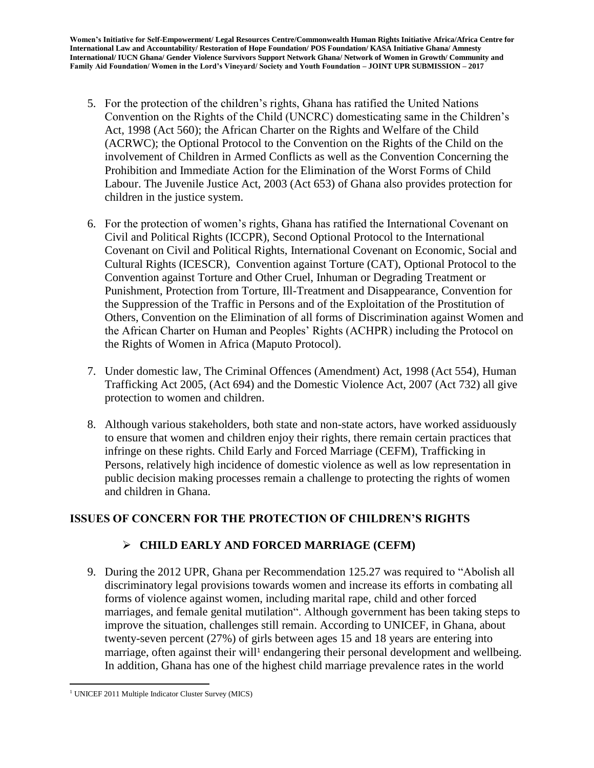- 5. For the protection of the children's rights, Ghana has ratified the United Nations Convention on the Rights of the Child (UNCRC) domesticating same in the Children's Act, 1998 (Act 560); the African Charter on the Rights and Welfare of the Child (ACRWC); the Optional Protocol to the Convention on the Rights of the Child on the involvement of Children in Armed Conflicts as well as the Convention Concerning the Prohibition and Immediate Action for the Elimination of the Worst Forms of Child Labour. The Juvenile Justice Act, 2003 (Act 653) of Ghana also provides protection for children in the justice system.
- 6. For the protection of women's rights, Ghana has ratified the International Covenant on Civil and Political Rights (ICCPR), Second Optional Protocol to the International Covenant on Civil and Political Rights, International Covenant on Economic, Social and Cultural Rights (ICESCR), Convention against Torture (CAT), Optional Protocol to the Convention against Torture and Other Cruel, Inhuman or Degrading Treatment or Punishment, Protection from Torture, Ill-Treatment and Disappearance, Convention for the Suppression of the Traffic in Persons and of the Exploitation of the Prostitution of Others, Convention on the Elimination of all forms of Discrimination against Women and the African Charter on Human and Peoples' Rights (ACHPR) including the Protocol on the Rights of Women in Africa (Maputo Protocol).
- 7. Under domestic law, The Criminal Offences (Amendment) Act, 1998 (Act 554), Human Trafficking Act 2005, (Act 694) and the Domestic Violence Act, 2007 (Act 732) all give protection to women and children.
- 8. Although various stakeholders, both state and non-state actors, have worked assiduously to ensure that women and children enjoy their rights, there remain certain practices that infringe on these rights. Child Early and Forced Marriage (CEFM), Trafficking in Persons, relatively high incidence of domestic violence as well as low representation in public decision making processes remain a challenge to protecting the rights of women and children in Ghana.

# **ISSUES OF CONCERN FOR THE PROTECTION OF CHILDREN'S RIGHTS**

# **CHILD EARLY AND FORCED MARRIAGE (CEFM)**

9. During the 2012 UPR, Ghana per Recommendation 125.27 was required to "Abolish all discriminatory legal provisions towards women and increase its efforts in combating all forms of violence against women, including marital rape, child and other forced marriages, and female genital mutilation". Although government has been taking steps to improve the situation, challenges still remain. According to UNICEF, in Ghana, about twenty-seven percent (27%) of girls between ages 15 and 18 years are entering into marriage, often against their will<sup>1</sup> endangering their personal development and wellbeing. In addition, Ghana has one of the highest child marriage prevalence rates in the world

 $\overline{\phantom{a}}$ <sup>1</sup> UNICEF 2011 Multiple Indicator Cluster Survey (MICS)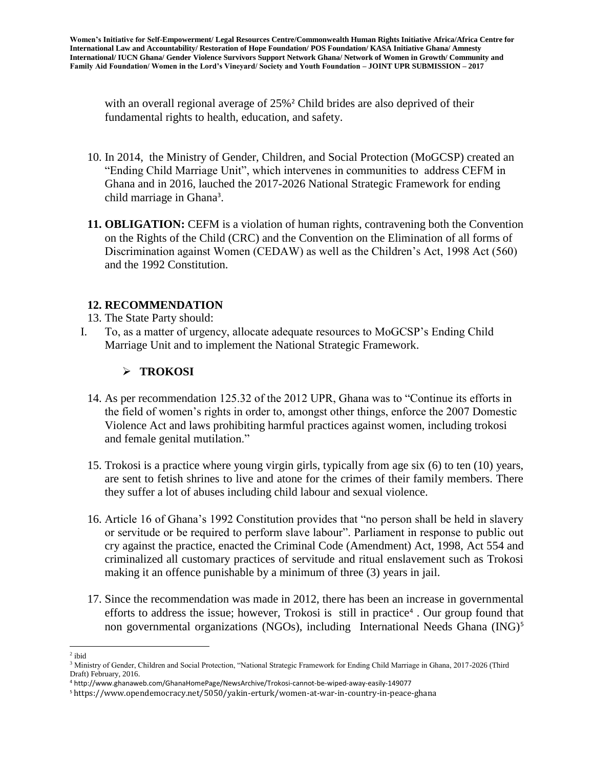with an overall regional average of 25%<sup>2</sup> Child brides are also deprived of their fundamental rights to health, education, and safety.

- 10. In 2014, the Ministry of Gender, Children, and Social Protection (MoGCSP) created an "Ending Child Marriage Unit", which intervenes in communities to address CEFM in Ghana and in 2016, lauched the 2017-2026 National Strategic Framework for ending child marriage in Ghana<sup>3</sup>.
- **11. OBLIGATION:** CEFM is a violation of human rights, contravening both the Convention on the Rights of the Child (CRC) and the Convention on the Elimination of all forms of Discrimination against Women (CEDAW) as well as the Children's Act, 1998 Act (560) and the 1992 Constitution.

# **12. RECOMMENDATION**

- 13. The State Party should:
- I. To, as a matter of urgency, allocate adequate resources to MoGCSP's Ending Child Marriage Unit and to implement the National Strategic Framework.

# **TROKOSI**

- 14. As per recommendation 125.32 of the 2012 UPR, Ghana was to "Continue its efforts in the field of women's rights in order to, amongst other things, enforce the 2007 Domestic Violence Act and laws prohibiting harmful practices against women, including trokosi and female genital mutilation."
- 15. Trokosi is a practice where young virgin girls, typically from age six (6) to ten (10) years, are sent to fetish shrines to live and atone for the crimes of their family members. There they suffer a lot of abuses including child labour and sexual violence.
- 16. Article 16 of Ghana's 1992 Constitution provides that "no person shall be held in slavery or servitude or be required to perform slave labour". Parliament in response to public out cry against the practice, enacted the Criminal Code (Amendment) Act, 1998, Act 554 and criminalized all customary practices of servitude and ritual enslavement such as Trokosi making it an offence punishable by a minimum of three (3) years in jail.
- 17. Since the recommendation was made in 2012, there has been an increase in governmental efforts to address the issue; however, Trokosi is still in practice<sup>4</sup>. Our group found that non governmental organizations (NGOs), including International Needs Ghana (ING)<sup>5</sup>

l <sup>2</sup> ibid

<sup>&</sup>lt;sup>3</sup> Ministry of Gender, Children and Social Protection, "National Strategic Framework for Ending Child Marriage in Ghana, 2017-2026 (Third Draft) February, 2016.

<sup>4</sup> http://www.ghanaweb.com/GhanaHomePage/NewsArchive/Trokosi-cannot-be-wiped-away-easily-149077

<sup>5</sup> https://www.opendemocracy.net/5050/yakin-erturk/women-at-war-in-country-in-peace-ghana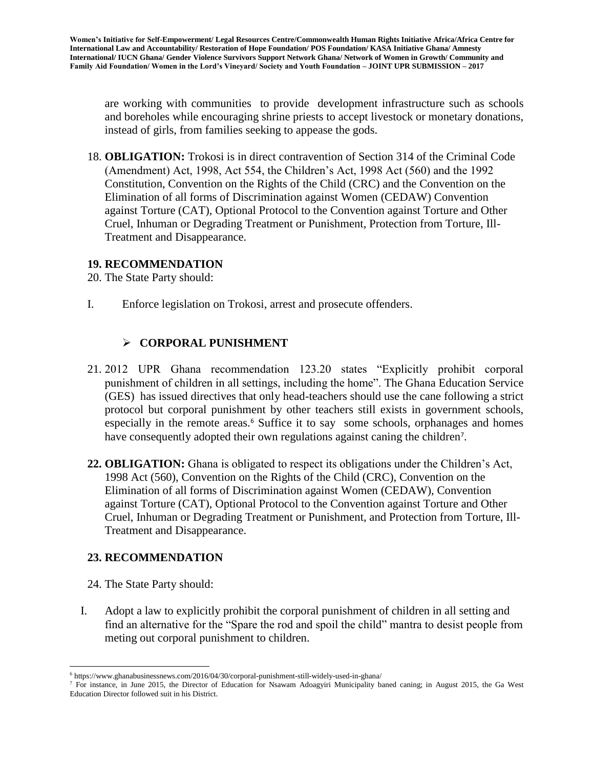are working with communities to provide development infrastructure such as schools and boreholes while encouraging shrine priests to accept livestock or monetary donations, instead of girls, from families seeking to appease the gods.

18. **OBLIGATION:** Trokosi is in direct contravention of Section 314 of the Criminal Code (Amendment) Act, 1998, Act 554, the Children's Act, 1998 Act (560) and the 1992 Constitution, Convention on the Rights of the Child (CRC) and the Convention on the Elimination of all forms of Discrimination against Women (CEDAW) Convention against Torture (CAT), Optional Protocol to the Convention against Torture and Other Cruel, Inhuman or Degrading Treatment or Punishment, Protection from Torture, Ill-Treatment and Disappearance.

#### **19. RECOMMENDATION**

20. The State Party should:

I. Enforce legislation on Trokosi, arrest and prosecute offenders.

# **CORPORAL PUNISHMENT**

- 21. 2012 UPR Ghana recommendation 123.20 states "Explicitly prohibit corporal punishment of children in all settings, including the home". The Ghana Education Service (GES) has issued directives that only head-teachers should use the cane following a strict protocol but corporal punishment by other teachers still exists in government schools, especially in the remote areas.<sup>6</sup> Suffice it to say some schools, orphanages and homes have consequently adopted their own regulations against caning the children<sup>7</sup>.
- **22. OBLIGATION:** Ghana is obligated to respect its obligations under the Children's Act, 1998 Act (560), Convention on the Rights of the Child (CRC), Convention on the Elimination of all forms of Discrimination against Women (CEDAW), Convention against Torture (CAT), Optional Protocol to the Convention against Torture and Other Cruel, Inhuman or Degrading Treatment or Punishment, and Protection from Torture, Ill-Treatment and Disappearance.

# **23. RECOMMENDATION**

24. The State Party should:

 $\overline{a}$ 

I. Adopt a law to explicitly prohibit the corporal punishment of children in all setting and find an alternative for the "Spare the rod and spoil the child" mantra to desist people from meting out corporal punishment to children.

 $6$  https://www.ghanabusinessnews.com/2016/04/30/corporal-punishment-still-widely-used-in-ghana/

<sup>&</sup>lt;sup>7</sup> For instance, in June 2015, the Director of Education for Nsawam Adoagyiri Municipality baned caning; in August 2015, the Ga West Education Director followed suit in his District.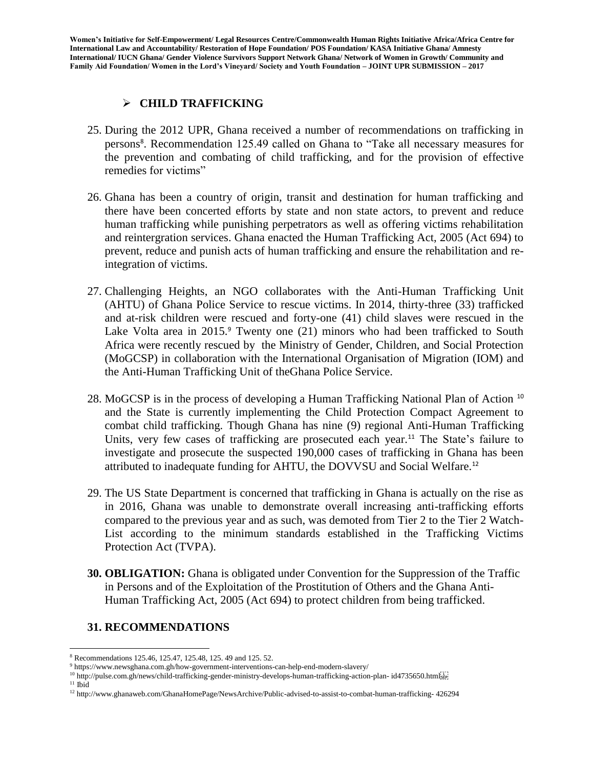# **CHILD TRAFFICKING**

- 25. During the 2012 UPR, Ghana received a number of recommendations on trafficking in persons<sup>8</sup>. Recommendation 125.49 called on Ghana to "Take all necessary measures for the prevention and combating of child trafficking, and for the provision of effective remedies for victims"
- 26. Ghana has been a country of origin, transit and destination for human trafficking and there have been concerted efforts by state and non state actors, to prevent and reduce human trafficking while punishing perpetrators as well as offering victims rehabilitation and reintergration services. Ghana enacted the Human Trafficking Act, 2005 (Act 694) to prevent, reduce and punish acts of human trafficking and ensure the rehabilitation and reintegration of victims.
- 27. Challenging Heights, an NGO collaborates with the Anti-Human Trafficking Unit (AHTU) of Ghana Police Service to rescue victims. In 2014, thirty-three (33) trafficked and at-risk children were rescued and forty-one (41) child slaves were rescued in the Lake Volta area in 2015.<sup>9</sup> Twenty one (21) minors who had been trafficked to South Africa were recently rescued by the Ministry of Gender, Children, and Social Protection (MoGCSP) in collaboration with the International Organisation of Migration (IOM) and the Anti-Human Trafficking Unit of theGhana Police Service.
- 28. MoGCSP is in the process of developing a Human Trafficking National Plan of Action <sup>10</sup> and the State is currently implementing the Child Protection Compact Agreement to combat child trafficking. Though Ghana has nine (9) regional Anti-Human Trafficking Units, very few cases of trafficking are prosecuted each year.<sup>11</sup> The State's failure to investigate and prosecute the suspected 190,000 cases of trafficking in Ghana has been attributed to inadequate funding for AHTU, the DOVVSU and Social Welfare.<sup>12</sup>
- 29. The US State Department is concerned that trafficking in Ghana is actually on the rise as in 2016, Ghana was unable to demonstrate overall increasing anti-trafficking efforts compared to the previous year and as such, was demoted from Tier 2 to the Tier 2 Watch-List according to the minimum standards established in the Trafficking Victims Protection Act (TVPA).
- **30. OBLIGATION:** Ghana is obligated under Convention for the Suppression of the Traffic in Persons and of the Exploitation of the Prostitution of Others and the Ghana Anti-Human Trafficking Act, 2005 (Act 694) to protect children from being trafficked.

#### **31. RECOMMENDATIONS**

 $\overline{a}$ <sup>8</sup> Recommendations 125.46, 125.47, 125.48, 125. 49 and 125. 52.

<sup>9</sup> https://www.newsghana.com.gh/how-government-interventions-can-help-end-modern-slavery/

<sup>10</sup> http://pulse.com.gh/news/child-trafficking-gender-ministry-develops-human-trafficking-action-plan- id4735650.html

 $^{\rm 11}$ Ibid

<sup>12</sup> http://www.ghanaweb.com/GhanaHomePage/NewsArchive/Public-advised-to-assist-to-combat-human-trafficking- 426294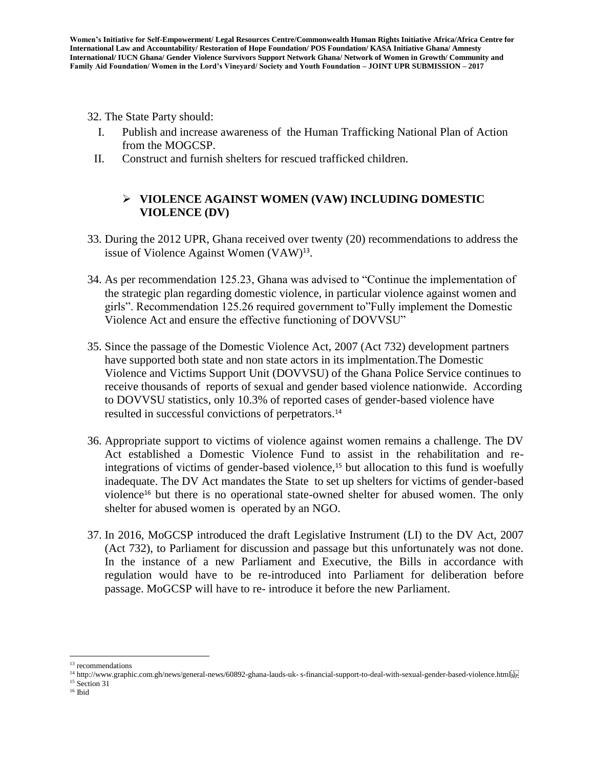- 32. The State Party should:
	- I. Publish and increase awareness of the Human Trafficking National Plan of Action from the MOGCSP.
- II. Construct and furnish shelters for rescued trafficked children.

# **VIOLENCE AGAINST WOMEN (VAW) INCLUDING DOMESTIC VIOLENCE (DV)**

- 33. During the 2012 UPR, Ghana received over twenty (20) recommendations to address the issue of Violence Against Women  $(VAW)^{13}$ .
- 34. As per recommendation 125.23, Ghana was advised to "Continue the implementation of the strategic plan regarding domestic violence, in particular violence against women and girls". Recommendation 125.26 required government to"Fully implement the Domestic Violence Act and ensure the effective functioning of DOVVSU"
- 35. Since the passage of the Domestic Violence Act, 2007 (Act 732) development partners have supported both state and non state actors in its implmentation.The Domestic Violence and Victims Support Unit (DOVVSU) of the Ghana Police Service continues to receive thousands of reports of sexual and gender based violence nationwide. According to DOVVSU statistics, only 10.3% of reported cases of gender-based violence have resulted in successful convictions of perpetrators.<sup>14</sup>
- 36. Appropriate support to victims of violence against women remains a challenge. The DV Act established a Domestic Violence Fund to assist in the rehabilitation and reintegrations of victims of gender-based violence,<sup>15</sup> but allocation to this fund is woefully inadequate. The DV Act mandates the State to set up shelters for victims of gender-based violence<sup>16</sup> but there is no operational state-owned shelter for abused women. The only shelter for abused women is operated by an NGO.
- 37. In 2016, MoGCSP introduced the draft Legislative Instrument (LI) to the DV Act, 2007 (Act 732), to Parliament for discussion and passage but this unfortunately was not done. In the instance of a new Parliament and Executive, the Bills in accordance with regulation would have to be re-introduced into Parliament for deliberation before passage. MoGCSP will have to re- introduce it before the new Parliament.

<sup>15</sup> Section 31

 $\overline{\phantom{a}}$ 

<sup>&</sup>lt;sup>13</sup> recommendations

<sup>14</sup> http://www.graphic.com.gh/news/general-news/60892-ghana-lauds-uk- s-financial-support-to-deal-with-sexual-gender-based-violence.html

 $^{\rm 16}$ Ibid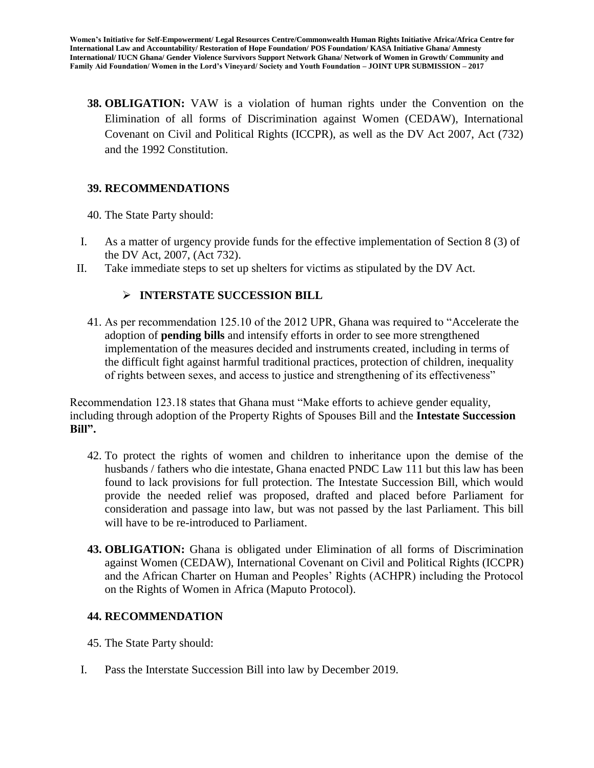**38. OBLIGATION:** VAW is a violation of human rights under the Convention on the Elimination of all forms of Discrimination against Women (CEDAW), International Covenant on Civil and Political Rights (ICCPR), as well as the DV Act 2007, Act (732) and the 1992 Constitution.

# **39. RECOMMENDATIONS**

- 40. The State Party should:
- I. As a matter of urgency provide funds for the effective implementation of Section 8 (3) of the DV Act, 2007, (Act 732).
- II. Take immediate steps to set up shelters for victims as stipulated by the DV Act.

#### **INTERSTATE SUCCESSION BILL**

41. As per recommendation 125.10 of the 2012 UPR, Ghana was required to "Accelerate the adoption of **pending bills** and intensify efforts in order to see more strengthened implementation of the measures decided and instruments created, including in terms of the difficult fight against harmful traditional practices, protection of children, inequality of rights between sexes, and access to justice and strengthening of its effectiveness"

Recommendation 123.18 states that Ghana must "Make efforts to achieve gender equality, including through adoption of the Property Rights of Spouses Bill and the **Intestate Succession Bill".**

- 42. To protect the rights of women and children to inheritance upon the demise of the husbands / fathers who die intestate, Ghana enacted PNDC Law 111 but this law has been found to lack provisions for full protection. The Intestate Succession Bill, which would provide the needed relief was proposed, drafted and placed before Parliament for consideration and passage into law, but was not passed by the last Parliament. This bill will have to be re-introduced to Parliament.
- **43. OBLIGATION:** Ghana is obligated under Elimination of all forms of Discrimination against Women (CEDAW), International Covenant on Civil and Political Rights (ICCPR) and the African Charter on Human and Peoples' Rights (ACHPR) including the Protocol on the Rights of Women in Africa (Maputo Protocol).

# **44. RECOMMENDATION**

- 45. The State Party should:
- I. Pass the Interstate Succession Bill into law by December 2019.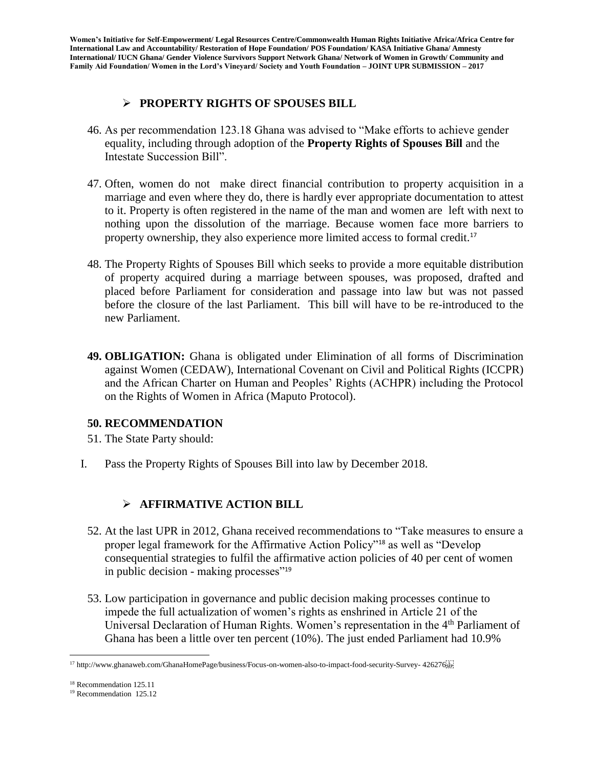# **PROPERTY RIGHTS OF SPOUSES BILL**

- 46. As per recommendation 123.18 Ghana was advised to "Make efforts to achieve gender equality, including through adoption of the **Property Rights of Spouses Bill** and the Intestate Succession Bill".
- 47. Often, women do not make direct financial contribution to property acquisition in a marriage and even where they do, there is hardly ever appropriate documentation to attest to it. Property is often registered in the name of the man and women are left with next to nothing upon the dissolution of the marriage. Because women face more barriers to property ownership, they also experience more limited access to formal credit.<sup>17</sup>
- 48. The Property Rights of Spouses Bill which seeks to provide a more equitable distribution of property acquired during a marriage between spouses, was proposed, drafted and placed before Parliament for consideration and passage into law but was not passed before the closure of the last Parliament. This bill will have to be re-introduced to the new Parliament.
- **49. OBLIGATION:** Ghana is obligated under Elimination of all forms of Discrimination against Women (CEDAW), International Covenant on Civil and Political Rights (ICCPR) and the African Charter on Human and Peoples' Rights (ACHPR) including the Protocol on the Rights of Women in Africa (Maputo Protocol).

#### **50. RECOMMENDATION**

- 51. The State Party should:
- I. Pass the Property Rights of Spouses Bill into law by December 2018.

# **AFFIRMATIVE ACTION BILL**

- 52. At the last UPR in 2012, Ghana received recommendations to "Take measures to ensure a proper legal framework for the Affirmative Action Policy"<sup>18</sup> as well as "Develop consequential strategies to fulfil the affirmative action policies of 40 per cent of women in public decision - making processes"<sup>19</sup>
- 53. Low participation in governance and public decision making processes continue to impede the full actualization of women's rights as enshrined in Article 21 of the Universal Declaration of Human Rights. Women's representation in the 4<sup>th</sup> Parliament of Ghana has been a little over ten percent (10%). The just ended Parliament had 10.9%

 $\overline{\phantom{a}}$ <sup>17</sup> http://www.ghanaweb.com/GhanaHomePage/business/Focus-on-women-also-to-impact-food-security-Survey- 426276

<sup>18</sup> Recommendation 125.11

<sup>&</sup>lt;sup>19</sup> Recommendation 125.12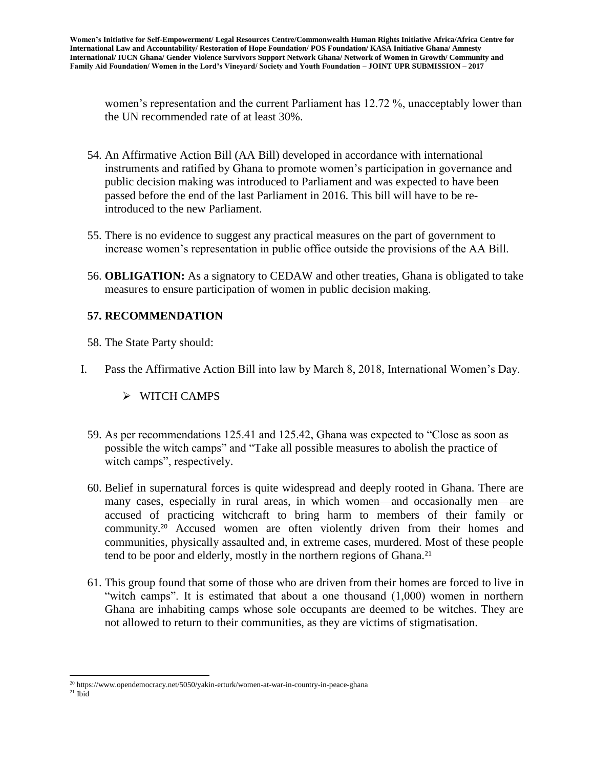women's representation and the current Parliament has 12.72 %, unacceptably lower than the UN recommended rate of at least 30%.

- 54. An Affirmative Action Bill (AA Bill) developed in accordance with international instruments and ratified by Ghana to promote women's participation in governance and public decision making was introduced to Parliament and was expected to have been passed before the end of the last Parliament in 2016. This bill will have to be reintroduced to the new Parliament.
- 55. There is no evidence to suggest any practical measures on the part of government to increase women's representation in public office outside the provisions of the AA Bill.
- 56. **OBLIGATION:** As a signatory to CEDAW and other treaties, Ghana is obligated to take measures to ensure participation of women in public decision making.

# **57. RECOMMENDATION**

- 58. The State Party should:
- I. Pass the Affirmative Action Bill into law by March 8, 2018, International Women's Day.

# $\triangleright$  WITCH CAMPS

- 59. As per recommendations 125.41 and 125.42, Ghana was expected to "Close as soon as possible the witch camps" and "Take all possible measures to abolish the practice of witch camps", respectively.
- 60. Belief in supernatural forces is quite widespread and deeply rooted in Ghana. There are many cases, especially in rural areas, in which women—and occasionally men—are accused of practicing witchcraft to bring harm to members of their family or community.<sup>20</sup> Accused women are often violently driven from their homes and communities, physically assaulted and, in extreme cases, murdered. Most of these people tend to be poor and elderly, mostly in the northern regions of Ghana.<sup>21</sup>
- 61. This group found that some of those who are driven from their homes are forced to live in "witch camps". It is estimated that about a one thousand (1,000) women in northern Ghana are inhabiting camps whose sole occupants are deemed to be witches. They are not allowed to return to their communities, as they are victims of stigmatisation.

 $\overline{\phantom{a}}$ <sup>20</sup> https://www.opendemocracy.net/5050/yakin-erturk/women-at-war-in-country-in-peace-ghana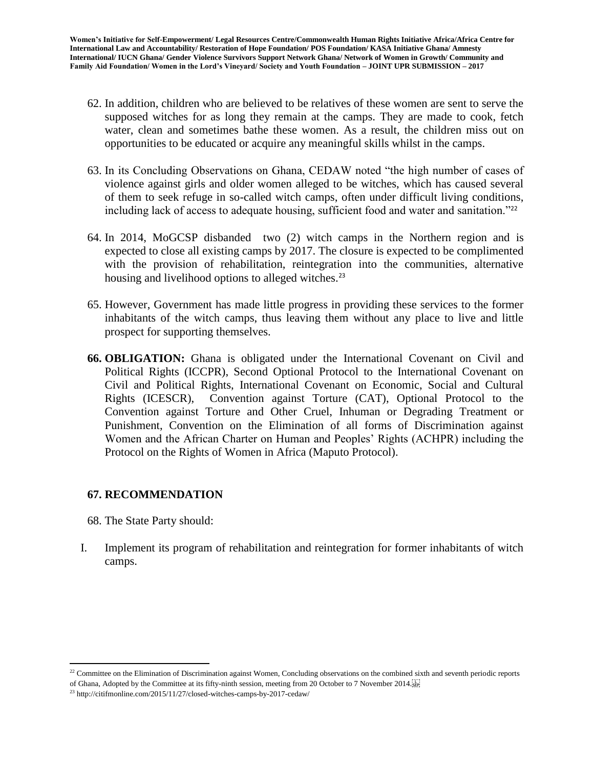- 62. In addition, children who are believed to be relatives of these women are sent to serve the supposed witches for as long they remain at the camps. They are made to cook, fetch water, clean and sometimes bathe these women. As a result, the children miss out on opportunities to be educated or acquire any meaningful skills whilst in the camps.
- 63. In its Concluding Observations on Ghana, CEDAW noted "the high number of cases of violence against girls and older women alleged to be witches, which has caused several of them to seek refuge in so-called witch camps, often under difficult living conditions, including lack of access to adequate housing, sufficient food and water and sanitation.<sup>"22</sup>
- 64. In 2014, MoGCSP disbanded two (2) witch camps in the Northern region and is expected to close all existing camps by 2017. The closure is expected to be complimented with the provision of rehabilitation, reintegration into the communities, alternative housing and livelihood options to alleged witches.<sup>23</sup>
- 65. However, Government has made little progress in providing these services to the former inhabitants of the witch camps, thus leaving them without any place to live and little prospect for supporting themselves.
- **66. OBLIGATION:** Ghana is obligated under the International Covenant on Civil and Political Rights (ICCPR), Second Optional Protocol to the International Covenant on Civil and Political Rights, International Covenant on Economic, Social and Cultural Rights (ICESCR), Convention against Torture (CAT), Optional Protocol to the Convention against Torture and Other Cruel, Inhuman or Degrading Treatment or Punishment, Convention on the Elimination of all forms of Discrimination against Women and the African Charter on Human and Peoples' Rights (ACHPR) including the Protocol on the Rights of Women in Africa (Maputo Protocol).

# **67. RECOMMENDATION**

68. The State Party should:

 $\overline{\phantom{a}}$ 

I. Implement its program of rehabilitation and reintegration for former inhabitants of witch camps.

 $22$  Committee on the Elimination of Discrimination against Women, Concluding observations on the combined sixth and seventh periodic reports of Ghana, Adopted by the Committee at its fifty-ninth session, meeting from 20 October to 7 November 2014.

<sup>23</sup> http://citifmonline.com/2015/11/27/closed-witches-camps-by-2017-cedaw/